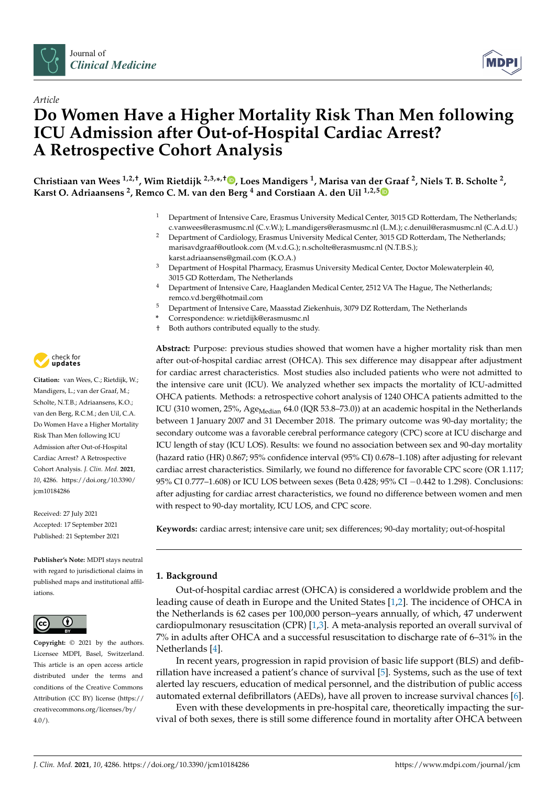



# *Article* **Do Women Have a Higher Mortality Risk Than Men following ICU Admission after Out-of-Hospital Cardiac Arrest? A Retrospective Cohort Analysis**

**Christiaan van Wees 1,2,†, Wim Rietdijk 2,3,\* ,† [,](https://orcid.org/0000-0002-2622-7321) Loes Mandigers <sup>1</sup> , Marisa van der Graaf <sup>2</sup> , Niels T. B. Scholte <sup>2</sup> , Karst O. Adriaansens <sup>2</sup> , Remco C. M. van den Berg <sup>4</sup> and Corstiaan A. den Uil 1,2,[5](https://orcid.org/0000-0003-0635-2843)**

- <sup>1</sup> Department of Intensive Care, Erasmus University Medical Center, 3015 GD Rotterdam, The Netherlands; c.vanwees@erasmusmc.nl (C.v.W.); L.mandigers@erasmusmc.nl (L.M.); c.denuil@erasmusmc.nl (C.A.d.U.)
- <sup>2</sup> Department of Cardiology, Erasmus University Medical Center, 3015 GD Rotterdam, The Netherlands; marisavdgraaf@outlook.com (M.v.d.G.); n.scholte@erasmusmc.nl (N.T.B.S.); karst.adriaansens@gmail.com (K.O.A.)
- <sup>3</sup> Department of Hospital Pharmacy, Erasmus University Medical Center, Doctor Molewaterplein 40, 3015 GD Rotterdam, The Netherlands
- Department of Intensive Care, Haaglanden Medical Center, 2512 VA The Hague, The Netherlands; remco.vd.berg@hotmail.com
- <sup>5</sup> Department of Intensive Care, Maasstad Ziekenhuis, 3079 DZ Rotterdam, The Netherlands
- **\*** Correspondence: w.rietdijk@erasmusmc.nl
- † Both authors contributed equally to the study.

**Abstract:** Purpose: previous studies showed that women have a higher mortality risk than men after out-of-hospital cardiac arrest (OHCA). This sex difference may disappear after adjustment for cardiac arrest characteristics. Most studies also included patients who were not admitted to the intensive care unit (ICU). We analyzed whether sex impacts the mortality of ICU-admitted OHCA patients. Methods: a retrospective cohort analysis of 1240 OHCA patients admitted to the ICU (310 women, 25%, Age<sub>Median</sub> 64.0 (IQR 53.8–73.0)) at an academic hospital in the Netherlands between 1 January 2007 and 31 December 2018. The primary outcome was 90-day mortality; the secondary outcome was a favorable cerebral performance category (CPC) score at ICU discharge and ICU length of stay (ICU LOS). Results: we found no association between sex and 90-day mortality (hazard ratio (HR) 0.867; 95% confidence interval (95% CI) 0.678–1.108) after adjusting for relevant cardiac arrest characteristics. Similarly, we found no difference for favorable CPC score (OR 1.117; 95% CI 0.777–1.608) or ICU LOS between sexes (Beta 0.428; 95% CI −0.442 to 1.298). Conclusions: after adjusting for cardiac arrest characteristics, we found no difference between women and men with respect to 90-day mortality, ICU LOS, and CPC score.

**Keywords:** cardiac arrest; intensive care unit; sex differences; 90-day mortality; out-of-hospital

# **1. Background**

Out-of-hospital cardiac arrest (OHCA) is considered a worldwide problem and the leading cause of death in Europe and the United States [\[1,](#page-11-0)[2\]](#page-11-1). The incidence of OHCA in the Netherlands is 62 cases per 100,000 person–years annually, of which, 47 underwent cardiopulmonary resuscitation (CPR) [\[1,](#page-11-0)[3\]](#page-11-2). A meta-analysis reported an overall survival of 7% in adults after OHCA and a successful resuscitation to discharge rate of 6–31% in the Netherlands [\[4\]](#page-11-3).

In recent years, progression in rapid provision of basic life support (BLS) and defibrillation have increased a patient's chance of survival [\[5\]](#page-11-4). Systems, such as the use of text alerted lay rescuers, education of medical personnel, and the distribution of public access automated external defibrillators (AEDs), have all proven to increase survival chances [\[6\]](#page-11-5).

Even with these developments in pre-hospital care, theoretically impacting the survival of both sexes, there is still some difference found in mortality after OHCA between



**Citation:** van Wees, C.; Rietdijk, W.; Mandigers, L.; van der Graaf, M.; Scholte, N.T.B.; Adriaansens, K.O.; van den Berg, R.C.M.; den Uil, C.A. Do Women Have a Higher Mortality Risk Than Men following ICU Admission after Out-of-Hospital Cardiac Arrest? A Retrospective Cohort Analysis. *J. Clin. Med.* **2021**, *10*, 4286. [https://doi.org/10.3390/](https://doi.org/10.3390/jcm10184286) [jcm10184286](https://doi.org/10.3390/jcm10184286)

Received: 27 July 2021 Accepted: 17 September 2021 Published: 21 September 2021

**Publisher's Note:** MDPI stays neutral with regard to jurisdictional claims in published maps and institutional affiliations.



**Copyright:** © 2021 by the authors. Licensee MDPI, Basel, Switzerland. This article is an open access article distributed under the terms and conditions of the Creative Commons Attribution (CC BY) license (https:/[/](https://creativecommons.org/licenses/by/4.0/) [creativecommons.org/licenses/by/](https://creativecommons.org/licenses/by/4.0/)  $4.0/$ ).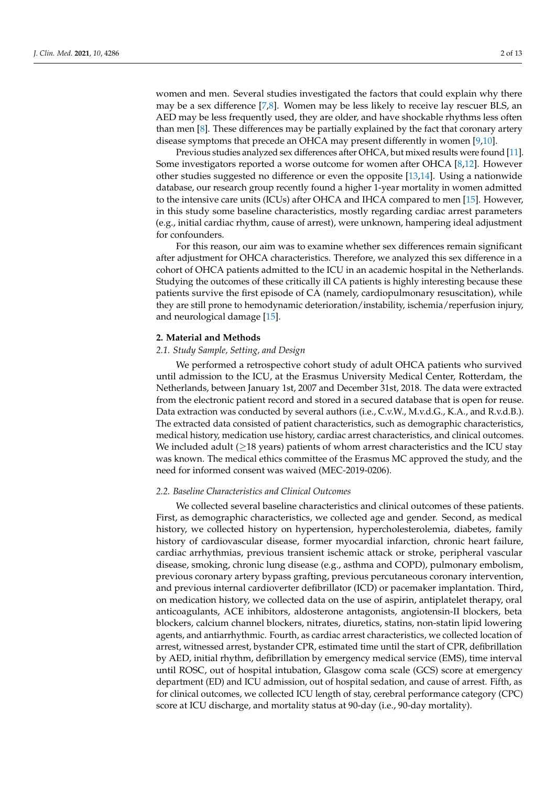women and men. Several studies investigated the factors that could explain why there may be a sex difference [\[7](#page-11-6)[,8\]](#page-11-7). Women may be less likely to receive lay rescuer BLS, an AED may be less frequently used, they are older, and have shockable rhythms less often than men [\[8\]](#page-11-7). These differences may be partially explained by the fact that coronary artery disease symptoms that precede an OHCA may present differently in women [\[9,](#page-11-8)[10\]](#page-11-9).

Previous studies analyzed sex differences after OHCA, but mixed results were found [\[11\]](#page-11-10). Some investigators reported a worse outcome for women after OHCA  $[8,12]$  $[8,12]$ . However other studies suggested no difference or even the opposite [\[13,](#page-11-12)[14\]](#page-11-13). Using a nationwide database, our research group recently found a higher 1-year mortality in women admitted to the intensive care units (ICUs) after OHCA and IHCA compared to men [\[15\]](#page-11-14). However, in this study some baseline characteristics, mostly regarding cardiac arrest parameters (e.g., initial cardiac rhythm, cause of arrest), were unknown, hampering ideal adjustment for confounders.

For this reason, our aim was to examine whether sex differences remain significant after adjustment for OHCA characteristics. Therefore, we analyzed this sex difference in a cohort of OHCA patients admitted to the ICU in an academic hospital in the Netherlands. Studying the outcomes of these critically ill CA patients is highly interesting because these patients survive the first episode of CA (namely, cardiopulmonary resuscitation), while they are still prone to hemodynamic deterioration/instability, ischemia/reperfusion injury, and neurological damage [\[15\]](#page-11-14).

## **2. Material and Methods**

## *2.1. Study Sample, Setting, and Design*

We performed a retrospective cohort study of adult OHCA patients who survived until admission to the ICU, at the Erasmus University Medical Center, Rotterdam, the Netherlands, between January 1st, 2007 and December 31st, 2018. The data were extracted from the electronic patient record and stored in a secured database that is open for reuse. Data extraction was conducted by several authors (i.e., C.v.W., M.v.d.G., K.A., and R.v.d.B.). The extracted data consisted of patient characteristics, such as demographic characteristics, medical history, medication use history, cardiac arrest characteristics, and clinical outcomes. We included adult ( $\geq$ 18 years) patients of whom arrest characteristics and the ICU stay was known. The medical ethics committee of the Erasmus MC approved the study, and the need for informed consent was waived (MEC-2019-0206).

## *2.2. Baseline Characteristics and Clinical Outcomes*

We collected several baseline characteristics and clinical outcomes of these patients. First, as demographic characteristics, we collected age and gender. Second, as medical history, we collected history on hypertension, hypercholesterolemia, diabetes, family history of cardiovascular disease, former myocardial infarction, chronic heart failure, cardiac arrhythmias, previous transient ischemic attack or stroke, peripheral vascular disease, smoking, chronic lung disease (e.g., asthma and COPD), pulmonary embolism, previous coronary artery bypass grafting, previous percutaneous coronary intervention, and previous internal cardioverter defibrillator (ICD) or pacemaker implantation. Third, on medication history, we collected data on the use of aspirin, antiplatelet therapy, oral anticoagulants, ACE inhibitors, aldosterone antagonists, angiotensin-II blockers, beta blockers, calcium channel blockers, nitrates, diuretics, statins, non-statin lipid lowering agents, and antiarrhythmic. Fourth, as cardiac arrest characteristics, we collected location of arrest, witnessed arrest, bystander CPR, estimated time until the start of CPR, defibrillation by AED, initial rhythm, defibrillation by emergency medical service (EMS), time interval until ROSC, out of hospital intubation, Glasgow coma scale (GCS) score at emergency department (ED) and ICU admission, out of hospital sedation, and cause of arrest. Fifth, as for clinical outcomes, we collected ICU length of stay, cerebral performance category (CPC) score at ICU discharge, and mortality status at 90-day (i.e., 90-day mortality).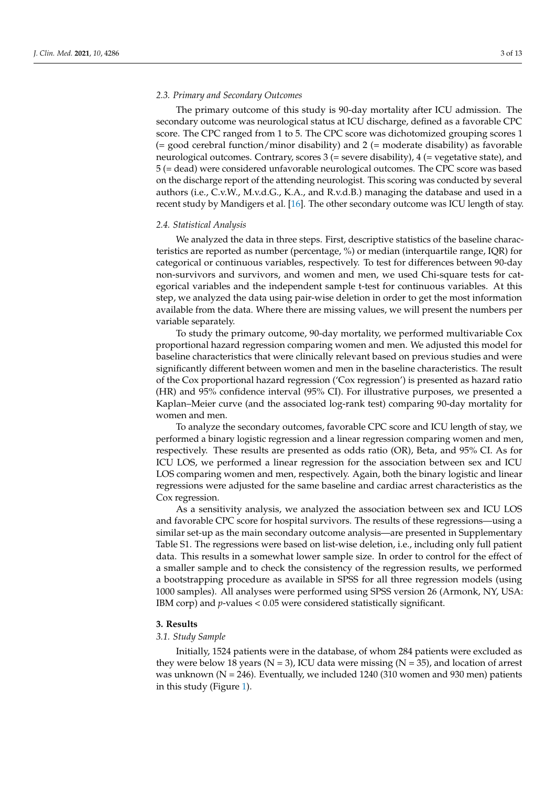## *2.3. Primary and Secondary Outcomes*

The primary outcome of this study is 90-day mortality after ICU admission. The secondary outcome was neurological status at ICU discharge, defined as a favorable CPC score. The CPC ranged from 1 to 5. The CPC score was dichotomized grouping scores 1  $(=$  good cerebral function/minor disability) and 2  $(=$  moderate disability) as favorable neurological outcomes. Contrary, scores 3 (= severe disability), 4 (= vegetative state), and 5 (= dead) were considered unfavorable neurological outcomes. The CPC score was based on the discharge report of the attending neurologist. This scoring was conducted by several authors (i.e., C.v.W., M.v.d.G., K.A., and R.v.d.B.) managing the database and used in a recent study by Mandigers et al. [\[16\]](#page-12-0). The other secondary outcome was ICU length of stay.

## *2.4. Statistical Analysis*

We analyzed the data in three steps. First, descriptive statistics of the baseline characteristics are reported as number (percentage, %) or median (interquartile range, IQR) for categorical or continuous variables, respectively. To test for differences between 90-day non-survivors and survivors, and women and men, we used Chi-square tests for categorical variables and the independent sample t-test for continuous variables. At this step, we analyzed the data using pair-wise deletion in order to get the most information available from the data. Where there are missing values, we will present the numbers per variable separately.

To study the primary outcome, 90-day mortality, we performed multivariable Cox proportional hazard regression comparing women and men. We adjusted this model for baseline characteristics that were clinically relevant based on previous studies and were significantly different between women and men in the baseline characteristics. The result of the Cox proportional hazard regression ('Cox regression') is presented as hazard ratio (HR) and 95% confidence interval (95% CI). For illustrative purposes, we presented a Kaplan–Meier curve (and the associated log-rank test) comparing 90-day mortality for women and men.

To analyze the secondary outcomes, favorable CPC score and ICU length of stay, we performed a binary logistic regression and a linear regression comparing women and men, respectively. These results are presented as odds ratio (OR), Beta, and 95% CI. As for ICU LOS, we performed a linear regression for the association between sex and ICU LOS comparing women and men, respectively. Again, both the binary logistic and linear regressions were adjusted for the same baseline and cardiac arrest characteristics as the Cox regression.

As a sensitivity analysis, we analyzed the association between sex and ICU LOS and favorable CPC score for hospital survivors. The results of these regressions—using a similar set-up as the main secondary outcome analysis—are presented in Supplementary Table S1. The regressions were based on list-wise deletion, i.e., including only full patient data. This results in a somewhat lower sample size. In order to control for the effect of a smaller sample and to check the consistency of the regression results, we performed a bootstrapping procedure as available in SPSS for all three regression models (using 1000 samples). All analyses were performed using SPSS version 26 (Armonk, NY, USA: IBM corp) and *p*-values < 0.05 were considered statistically significant.

## **3. Results**

## *3.1. Study Sample*

Initially, 1524 patients were in the database, of whom 284 patients were excluded as they were below 18 years ( $N = 3$ ), ICU data were missing ( $N = 35$ ), and location of arrest was unknown ( $N = 246$ ). Eventually, we included 1240 (310 women and 930 men) patients in this study (Figure [1\)](#page-3-0).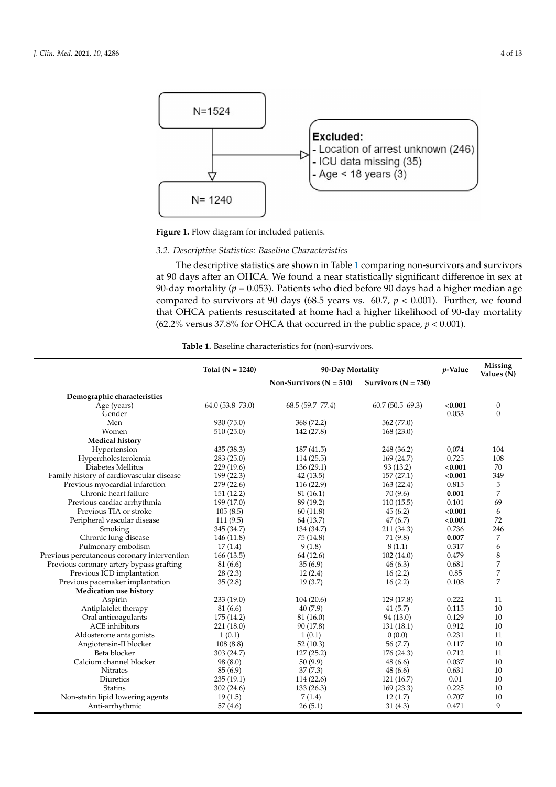<span id="page-3-0"></span>

**Figure 1.** Flow diagram for included patients.

# *3.2. Descriptive Statistics: Baseline Characteristics*

The descriptive statistics are shown in Table [1](#page-3-1) comparing non-survivors and survivors at 90 days after an OHCA. We found a near statistically significant difference in sex at 90-day mortality ( $p = 0.053$ ). Patients who died before 90 days had a higher median age compared to survivors at 90 days (68.5 years vs. 60.7, *p* < 0.001). Further, we found that OHCA patients resuscitated at home had a higher likelihood of 90-day mortality (62.2% versus 37.8% for OHCA that occurred in the public space,  $p < 0.001$ ).

|  |  | Table 1. Baseline characteristics for (non)-survivors |  |  |
|--|--|-------------------------------------------------------|--|--|
|--|--|-------------------------------------------------------|--|--|

<span id="page-3-1"></span>

|                                             | Total $(N = 1240)$  | 90-Day Mortality          |                       | $p$ -Value | <b>Missing</b><br>Values (N) |
|---------------------------------------------|---------------------|---------------------------|-----------------------|------------|------------------------------|
|                                             |                     | Non-Survivors $(N = 510)$ | Survivors $(N = 730)$ |            |                              |
| Demographic characteristics                 |                     |                           |                       |            |                              |
| Age (years)                                 | $64.0(53.8 - 73.0)$ | $68.5(59.7-77.4)$         | $60.7(50.5-69.3)$     | < 0.001    | $\boldsymbol{0}$             |
| Gender                                      |                     |                           |                       | 0.053      | $\mathbf{0}$                 |
| Men                                         | 930 (75.0)          | 368 (72.2)                | 562 (77.0)            |            |                              |
| Women                                       | 510 (25.0)          | 142 (27.8)                | 168(23.0)             |            |                              |
| <b>Medical history</b>                      |                     |                           |                       |            |                              |
| Hypertension                                | 435 (38.3)          | 187(41.5)                 | 248 (36.2)            | 0,074      | 104                          |
| Hypercholesterolemia                        | 283(25.0)           | 114(25.5)                 | 169 (24.7)            | 0.725      | 108                          |
| Diabetes Mellitus                           | 229 (19.6)          | 136 (29.1)                | 93 (13.2)             | < 0.001    | 70                           |
| Family history of cardiovascular disease    | 199 (22.3)          | 42(13.5)                  | 157(27.1)             | < 0.001    | 349                          |
| Previous myocardial infarction              | 279(22.6)           | 116(22.9)                 | 163(22.4)             | 0.815      | 5                            |
| Chronic heart failure                       | 151 (12.2)          | 81 (16.1)                 | 70(9.6)               | 0.001      | 7                            |
| Previous cardiac arrhythmia                 | 199 (17.0)          | 89 (19.2)                 | 110(15.5)             | 0.101      | 69                           |
| Previous TIA or stroke                      | 105(8.5)            | 60(11.8)                  | 45(6.2)               | < 0.001    | 6                            |
| Peripheral vascular disease                 | 111(9.5)            | 64 (13.7)                 | 47(6.7)               | < 0.001    | 72                           |
| Smoking                                     | 345 (34.7)          | 134 (34.7)                | 211 (34.3)            | 0.736      | 246                          |
| Chronic lung disease                        | 146 (11.8)          | 75 (14.8)                 | 71 (9.8)              | 0.007      | 7                            |
| Pulmonary embolism                          | 17(1.4)             | 9(1.8)                    | 8(1.1)                | 0.317      | 6                            |
| Previous percutaneous coronary intervention | 166(13.5)           | 64 (12.6)                 | 102(14.0)             | 0.479      | 8                            |
| Previous coronary artery bypass grafting    | 81 (6.6)            | 35(6.9)                   | 46(6.3)               | 0.681      | 7                            |
| Previous ICD implantation                   | 28(2.3)             | 12(2.4)                   | 16(2.2)               | 0.85       | 7                            |
| Previous pacemaker implantation             | 35(2.8)             | 19(3.7)                   | 16(2.2)               | 0.108      | 7                            |
| Medication use history                      |                     |                           |                       |            |                              |
| Aspirin                                     | 233 (19.0)          | 104(20.6)                 | 129 (17.8)            | 0.222      | 11                           |
| Antiplatelet therapy                        | 81 (6.6)            | 40(7.9)                   | 41(5.7)               | 0.115      | 10                           |
| Oral anticoagulants                         | 175 (14.2)          | 81 (16.0)                 | 94 (13.0)             | 0.129      | 10                           |
| <b>ACE</b> inhibitors                       | 221 (18.0)          | 90 (17.8)                 | 131(18.1)             | 0.912      | 10                           |
| Aldosterone antagonists                     | 1(0.1)              | 1(0.1)                    | 0(0.0)                | 0.231      | 11                           |
| Angiotensin-II blocker                      | 108(8.8)            | 52(10.3)                  | 56 (7.7)              | 0.117      | 10                           |
| Beta blocker                                | 303 (24.7)          | 127(25.2)                 | 176 (24.3)            | 0.712      | 11                           |
| Calcium channel blocker                     | 98 (8.0)            | 50(9.9)                   | 48 (6.6)              | 0.037      | 10                           |
| Nitrates                                    | 85(6.9)             | 37(7.3)                   | 48(6.6)               | 0.631      | 10                           |
| <b>Diuretics</b>                            | 235 (19.1)          | 114(22.6)                 | 121(16.7)             | 0.01       | 10                           |
| <b>Statins</b>                              | 302(24.6)           | 133(26.3)                 | 169(23.3)             | 0.225      | 10                           |
| Non-statin lipid lowering agents            | 19(1.5)             | 7(1.4)                    | 12(1.7)               | 0.707      | 10                           |
| Anti-arrhythmic                             | 57(4.6)             | 26(5.1)                   | 31(4.3)               | 0.471      | 9                            |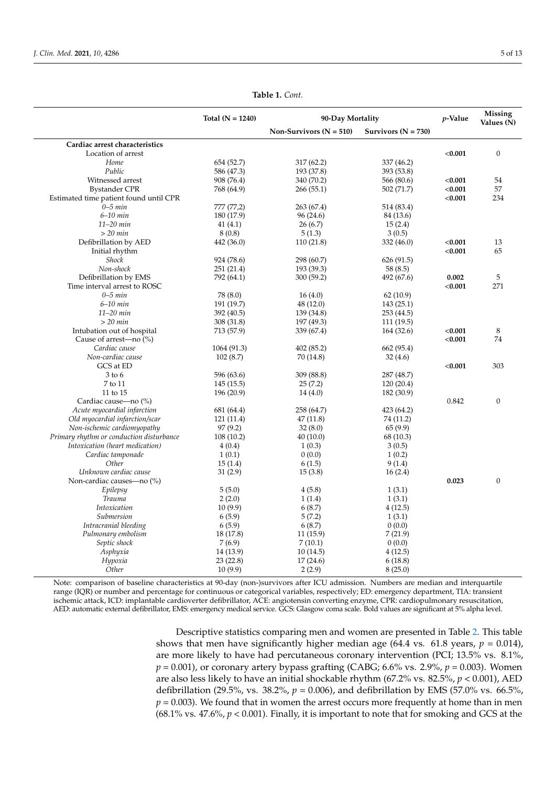|                                          | Total $(N = 1240)$ | 90-Day Mortality          |                       | $p$ -Value | Missing<br>Values (N) |
|------------------------------------------|--------------------|---------------------------|-----------------------|------------|-----------------------|
|                                          |                    | Non-Survivors $(N = 510)$ | Survivors $(N = 730)$ |            |                       |
| Cardiac arrest characteristics           |                    |                           |                       |            |                       |
| Location of arrest                       |                    |                           |                       | < 0.001    | $\boldsymbol{0}$      |
| Home                                     | 654 (52.7)         | 317 (62.2)                | 337 (46.2)            |            |                       |
| Public                                   | 586 (47.3)         | 193 (37.8)                | 393 (53.8)            |            |                       |
| Witnessed arrest                         | 908 (76.4)         | 340 (70.2)                | 566 (80.6)            | < 0.001    | 54                    |
| <b>Bystander CPR</b>                     | 768 (64.9)         | 266 (55.1)                | 502 (71.7)            | < 0.001    | 57                    |
| Estimated time patient found until CPR   |                    |                           |                       | < 0.001    | 234                   |
| $0 - 5$ min                              | 777 (77,2)         | 263 (67.4)                | 514 (83.4)            |            |                       |
| $6-10$ min                               | 180 (17.9)         | 96 (24.6)                 | 84 (13.6)             |            |                       |
| 11-20 min                                | 41(4.1)            | 26(6.7)                   | 15(2.4)               |            |                       |
| $>$ 20 min                               | 8(0.8)             | 5(1.3)                    | 3(0.5)                |            |                       |
| Defibrillation by AED                    | 442 (36.0)         | 110 (21.8)                | 332(46.0)             | < 0.001    | 13                    |
| Initial rhythm                           |                    |                           |                       | < 0.001    | 65                    |
| Shock                                    | 924 (78.6)         | 298 (60.7)                | 626(91.5)             |            |                       |
| Non-shock                                | 251 (21.4)         | 193 (39.3)                | 58 (8.5)              |            |                       |
| Defibrillation by EMS                    | 792 (64.1)         | 300 (59.2)                | 492 (67.6)            | 0.002      | 5                     |
| Time interval arrest to ROSC             |                    |                           |                       | < 0.001    | 271                   |
| $0-5$ min                                | 78 (8.0)           | 16(4.0)                   | 62(10.9)              |            |                       |
| $6-10$ min                               | 191 (19.7)         | 48 (12.0)                 | 143(25.1)             |            |                       |
| 11-20 min                                | 392 (40.5)         | 139 (34.8)                | 253 (44.5)            |            |                       |
| $>$ 20 min                               | 308 (31.8)         | 197 (49.3)                | 111(19.5)             |            |                       |
| Intubation out of hospital               | 713 (57.9)         | 339 (67.4)                | 164 (32.6)            | < 0.001    | 8                     |
| Cause of arrest—no $(\%)$                |                    |                           |                       | < 0.001    | 74                    |
| Cardiac cause                            | 1064 (91.3)        | 402 (85.2)                | 662 (95.4)            |            |                       |
| Non-cardiac cause                        | 102(8.7)           | 70 (14.8)                 | 32(4.6)               |            |                       |
| GCS at ED                                |                    |                           |                       | < 0.001    | 303                   |
| $3$ to $6$                               | 596 (63.6)         | 309 (88.8)                | 287 (48.7)            |            |                       |
| 7 to 11                                  | 145(15.5)          | 25(7.2)                   | 120(20.4)             |            |                       |
| 11 to 15                                 | 196 (20.9)         | 14(4.0)                   | 182 (30.9)            |            |                       |
| Cardiac cause-no (%)                     |                    |                           |                       | 0.842      | $\mathbf{0}$          |
| Acute myocardial infarction              | 681 (64.4)         | 258 (64.7)                | 423 (64.2)            |            |                       |
| Old myocardial infarction/scar           | 121(11.4)          | 47 (11.8)                 | 74 (11.2)             |            |                       |
| Non-ischemic cardiomyopathy              | 97(9.2)            | 32(8.0)                   | 65(9.9)               |            |                       |
| Primary rhythm or conduction disturbance | 108(10.2)          | 40 (10.0)                 | 68 (10.3)             |            |                       |
| Intoxication (heart medication)          | 4(0.4)             | 1(0.3)                    | 3(0.5)                |            |                       |
| Cardiac tamponade                        | 1(0.1)             | 0(0.0)                    | 1(0.2)                |            |                       |
| Other                                    | 15(1.4)            | 6(1.5)                    | 9(1.4)                |            |                       |
| Unknown cardiac cause                    | 31(2.9)            | 15(3.8)                   | 16(2.4)               |            |                       |
| Non-cardiac causes-no (%)                |                    |                           |                       | 0.023      | $\mathbf{0}$          |
| Epilepsy                                 | 5(5.0)             | 4(5.8)                    | 1(3.1)                |            |                       |
| <b>Trauma</b>                            |                    | 1(1.4)                    | 1(3.1)                |            |                       |
| Intoxication                             | 2(2.0)<br>10(9.9)  | 6(8.7)                    | 4(12.5)               |            |                       |
| Submersion                               | 6(5.9)             | 5(7.2)                    | 1(3.1)                |            |                       |
|                                          |                    |                           | 0(0.0)                |            |                       |
| Intracranial bleeding                    | 6(5.9)             | 6(8.7)                    |                       |            |                       |
| Pulmonary embolism                       | 18 (17.8)          | 11(15.9)                  | 7(21.9)               |            |                       |
| Septic shock                             | 7(6.9)             | 7(10.1)                   | 0(0.0)                |            |                       |
| Asphyxia                                 | 14 (13.9)          | 10(14.5)                  | 4(12.5)               |            |                       |
| Hypoxia                                  | 23 (22.8)          | 17(24.6)                  | 6(18.8)               |            |                       |
| Other                                    | 10(9.9)            | 2(2.9)                    | 8(25.0)               |            |                       |

**Table 1.** *Cont.*

Note: comparison of baseline characteristics at 90-day (non-)survivors after ICU admission. Numbers are median and interquartile range (IQR) or number and percentage for continuous or categorical variables, respectively; ED: emergency department, TIA: transient ischemic attack, ICD: implantable cardioverter defibrillator, ACE: angiotensin converting enzyme, CPR: cardiopulmonary resuscitation, AED: automatic external defibrillator, EMS: emergency medical service. GCS: Glasgow coma scale. Bold values are significant at 5% alpha level.

> Descriptive statistics comparing men and women are presented in Table [2.](#page-5-0) This table shows that men have significantly higher median age (64.4 vs. 61.8 years,  $p = 0.014$ ), are more likely to have had percutaneous coronary intervention (PCI; 13.5% vs. 8.1%, *p* = 0.001), or coronary artery bypass grafting (CABG; 6.6% vs. 2.9%, *p* = 0.003). Women are also less likely to have an initial shockable rhythm (67.2% vs. 82.5%, *p* < 0.001), AED defibrillation (29.5%, vs. 38.2%, *p* = 0.006), and defibrillation by EMS (57.0% vs. 66.5%,  $p = 0.003$ ). We found that in women the arrest occurs more frequently at home than in men (68.1% vs. 47.6%, *p* < 0.001). Finally, it is important to note that for smoking and GCS at the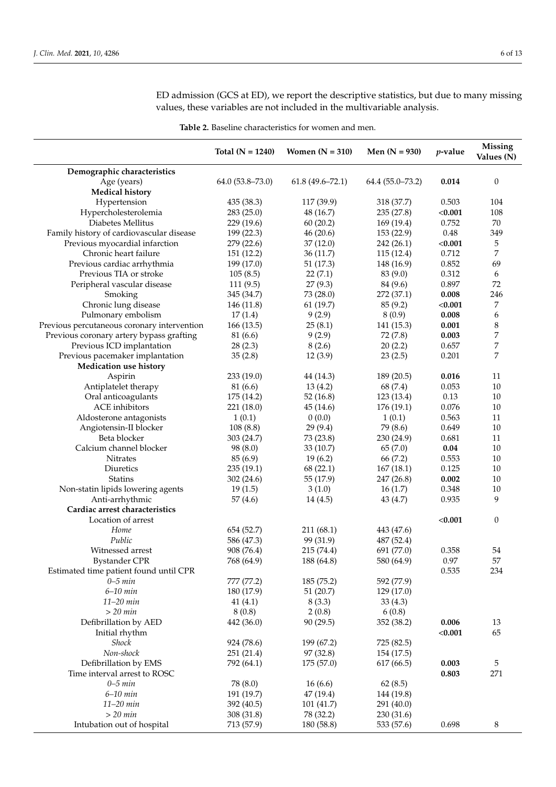ED admission (GCS at ED), we report the descriptive statistics, but due to many missing values, these variables are not included in the multivariable analysis.

**Table 2.** Baseline characteristics for women and men.

<span id="page-5-0"></span>

|                                             | Total $(N = 1240)$     | Women $(N = 310)$   | Men $(N = 930)$          | $p$ -value    | <b>Missing</b><br>Values (N) |
|---------------------------------------------|------------------------|---------------------|--------------------------|---------------|------------------------------|
| Demographic characteristics                 |                        |                     |                          |               |                              |
| Age (years)<br><b>Medical history</b>       | $64.0(53.8 - 73.0)$    | $61.8(49.6 - 72.1)$ | $64.4(55.0 - 73.2)$      | 0.014         | $\boldsymbol{0}$             |
| Hypertension                                | 435 (38.3)             | 117 (39.9)          | 318 (37.7)               | 0.503         | 104                          |
| Hypercholesterolemia                        | 283 (25.0)             | 48 (16.7)           | 235 (27.8)               | < 0.001       | 108                          |
| Diabetes Mellitus                           | 229 (19.6)             | 60(20.2)            | 169 (19.4)               | 0.752         | 70                           |
| Family history of cardiovascular disease    | 199 (22.3)             | 46(20.6)            | 153 (22.9)               | $0.48\,$      | 349                          |
| Previous myocardial infarction              | 279 (22.6)             | 37(12.0)            | 242 (26.1)               | < 0.001       | 5                            |
| Chronic heart failure                       | 151 (12.2)             | 36(11.7)            | 115(12.4)                | 0.712         | 7                            |
| Previous cardiac arrhythmia                 | 199 (17.0)             | 51(17.3)            | 148 (16.9)               | 0.852         | 69                           |
| Previous TIA or stroke                      | 105(8.5)               | 22(7.1)             | 83 (9.0)                 | 0.312         | 6                            |
| Peripheral vascular disease                 | 111(9.5)               | 27(9.3)             | 84 (9.6)                 | 0.897         | 72                           |
| Smoking                                     | 345 (34.7)             | 73 (28.0)           | 272 (37.1)               | 0.008         | 246                          |
| Chronic lung disease                        | 146 (11.8)             | 61(19.7)            | 85 (9.2)                 | < 0.001       | 7                            |
| Pulmonary embolism                          | 17(1.4)                | 9(2.9)              | 8(0.9)                   | 0.008         | 6                            |
| Previous percutaneous coronary intervention | 166 (13.5)             | 25(8.1)             | 141 (15.3)               | 0.001         | 8                            |
| Previous coronary artery bypass grafting    | 81 (6.6)               | 9(2.9)              | 72 (7.8)                 | 0.003         | 7                            |
| Previous ICD implantation                   | 28(2.3)                | 8(2.6)              | 20(2.2)                  | 0.657         | 7                            |
| Previous pacemaker implantation             | 35(2.8)                | 12(3.9)             | 23(2.5)                  | 0.201         | 7                            |
| <b>Medication use history</b>               |                        |                     |                          |               |                              |
| Aspirin                                     | 233 (19.0)             | 44 (14.3)           | 189 (20.5)               | 0.016         | 11                           |
| Antiplatelet therapy                        | 81 (6.6)<br>175 (14.2) | 13(4.2)             | 68 (7.4)                 | 0.053<br>0.13 | $10\,$<br>$10\,$             |
| Oral anticoagulants<br>ACE inhibitors       |                        | 52(16.8)            | 123 (13.4)<br>176 (19.1) | 0.076         | 10                           |
| Aldosterone antagonists                     | 221 (18.0)<br>1(0.1)   | 45(14.6)<br>0(0.0)  | 1(0.1)                   | 0.563         | 11                           |
| Angiotensin-II blocker                      | 108(8.8)               | 29(9.4)             | 79 (8.6)                 | 0.649         | 10                           |
| Beta blocker                                | 303 (24.7)             | 73 (23.8)           | 230 (24.9)               | 0.681         | 11                           |
| Calcium channel blocker                     | 98 (8.0)               | 33(10.7)            | 65(7.0)                  | $0.04\,$      | $10\,$                       |
| <b>Nitrates</b>                             | 85(6.9)                | 19(6.2)             | 66 (7.2)                 | 0.553         | 10                           |
| Diuretics                                   | 235(19.1)              | 68(22.1)            | 167(18.1)                | 0.125         | 10                           |
| <b>Statins</b>                              | 302 (24.6)             | 55 (17.9)           | 247 (26.8)               | 0.002         | 10                           |
| Non-statin lipids lowering agents           | 19(1.5)                | 3(1.0)              | 16(1.7)                  | 0.348         | 10                           |
| Anti-arrhythmic                             | 57(4.6)                | 14(4.5)             | 43(4.7)                  | 0.935         | 9                            |
| Cardiac arrest characteristics              |                        |                     |                          |               |                              |
| Location of arrest                          |                        |                     |                          | < 0.001       | 0                            |
| Home                                        | 654 (52.7)             | 211 (68.1)          | 443 (47.6)               |               |                              |
| Public                                      | 586 (47.3)             | 99 (31.9)           | 487 (52.4)               |               |                              |
| Witnessed arrest                            | 908 (76.4)             | 215 (74.4)          | 691 (77.0)               | 0.358         | 54                           |
| <b>Bystander CPR</b>                        | 768 (64.9)             | 188 (64.8)          | 580 (64.9)               | 0.97          | 57                           |
| Estimated time patient found until CPR      |                        |                     |                          | 0.535         | 234                          |
| $0 - 5$ min                                 | 777 (77.2)             | 185 (75.2)          | 592 (77.9)               |               |                              |
| $6-10$ min                                  | 180 (17.9)             | 51(20.7)            | 129 (17.0)               |               |                              |
| $11-20$ min                                 | 41(4.1)                | 8(3.3)              | 33(4.3)                  |               |                              |
| $>$ 20 $min$                                | 8(0.8)                 | 2(0.8)              | 6(0.8)                   |               |                              |
| Defibrillation by AED                       | 442 (36.0)             | 90(29.5)            | 352 (38.2)               | 0.006         | 13                           |
| Initial rhythm                              |                        |                     |                          | < 0.001       | 65                           |
| Shock                                       | 924 (78.6)             | 199 (67.2)          | 725 (82.5)               |               |                              |
| Non-shock                                   | 251 (21.4)             | 97 (32.8)           | 154 (17.5)               |               |                              |
| Defibrillation by EMS                       | 792 (64.1)             | 175 (57.0)          | 617 (66.5)               | 0.003         | 5                            |
| Time interval arrest to ROSC                |                        |                     |                          | 0.803         | 271                          |
| $0 - 5$ min                                 | 78 (8.0)               | 16(6.6)             | 62(8.5)                  |               |                              |
| $6-10$ min                                  | 191 (19.7)             | 47 (19.4)           | 144 (19.8)               |               |                              |
| $11-20$ min                                 | 392 (40.5)             | 101 (41.7)          | 291 (40.0)               |               |                              |
| $>$ 20 min                                  | 308 (31.8)             | 78 (32.2)           | 230 (31.6)               |               |                              |
| Intubation out of hospital                  | 713 (57.9)             | 180 (58.8)          | 533 (57.6)               | 0.698         | 8                            |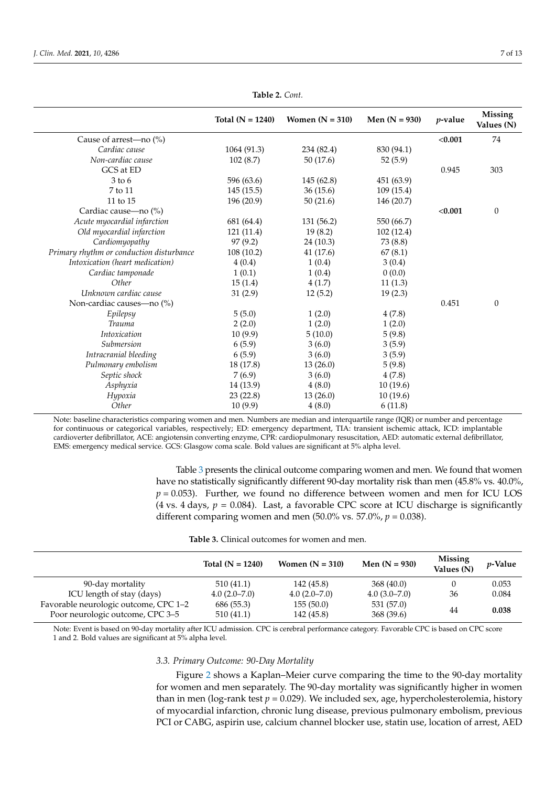|                                          | Total $(N = 1240)$ | Women $(N = 310)$ | Men $(N = 930)$ | <i>v</i> -value | <b>Missing</b><br>Values (N) |
|------------------------------------------|--------------------|-------------------|-----------------|-----------------|------------------------------|
| Cause of arrest—no (%)                   |                    |                   |                 | < 0.001         | 74                           |
| Cardiac cause                            | 1064 (91.3)        | 234 (82.4)        | 830 (94.1)      |                 |                              |
| Non-cardiac cause                        | 102(8.7)           | 50(17.6)          | 52(5.9)         |                 |                              |
| GCS at ED                                |                    |                   |                 | 0.945           | 303                          |
| $3$ to 6                                 | 596 (63.6)         | 145 (62.8)        | 451 (63.9)      |                 |                              |
| 7 to 11                                  | 145(15.5)          | 36(15.6)          | 109(15.4)       |                 |                              |
| 11 to 15                                 | 196 (20.9)         | 50(21.6)          | 146 (20.7)      |                 |                              |
| Cardiac cause—no (%)                     |                    |                   |                 | < 0.001         | $\theta$                     |
| Acute myocardial infarction              | 681 (64.4)         | 131 (56.2)        | 550 (66.7)      |                 |                              |
| Old myocardial infarction                | 121 (11.4)         | 19(8.2)           | 102(12.4)       |                 |                              |
| Cardiomyopathy                           | 97(9.2)            | 24 (10.3)         | 73 (8.8)        |                 |                              |
| Primary rhythm or conduction disturbance | 108(10.2)          | 41 (17.6)         | 67(8.1)         |                 |                              |
| Intoxication (heart medication)          | 4(0.4)             | 1(0.4)            | 3(0.4)          |                 |                              |
| Cardiac tamponade                        | 1(0.1)             | 1(0.4)            | 0(0.0)          |                 |                              |
| Other                                    | 15(1.4)            | 4(1.7)            | 11(1.3)         |                 |                              |
| Unknown cardiac cause                    | 31(2.9)            | 12(5.2)           | 19(2.3)         |                 |                              |
| Non-cardiac causes-no (%)                |                    |                   |                 | 0.451           | $\boldsymbol{0}$             |
| Epilepsy                                 | 5(5.0)             | 1(2.0)            | 4(7.8)          |                 |                              |
| <b>Trauma</b>                            | 2(2.0)             | 1(2.0)            | 1(2.0)          |                 |                              |
| Intoxication                             | 10(9.9)            | 5(10.0)           | 5(9.8)          |                 |                              |
| Submersion                               | 6(5.9)             | 3(6.0)            | 3(5.9)          |                 |                              |
| Intracranial bleeding                    | 6(5.9)             | 3(6.0)            | 3(5.9)          |                 |                              |
| Pulmonary embolism                       | 18 (17.8)          | 13(26.0)          | 5(9.8)          |                 |                              |
| Septic shock                             | 7(6.9)             | 3(6.0)            | 4(7.8)          |                 |                              |
| Asphyxia                                 | 14 (13.9)          | 4(8.0)            | 10(19.6)        |                 |                              |
| Hypoxia                                  | 23(22.8)           | 13(26.0)          | 10(19.6)        |                 |                              |
| Other                                    | 10(9.9)            | 4(8.0)            | 6(11.8)         |                 |                              |

**Table 2.** *Cont.*

Note: baseline characteristics comparing women and men. Numbers are median and interquartile range (IQR) or number and percentage for continuous or categorical variables, respectively; ED: emergency department, TIA: transient ischemic attack, ICD: implantable cardioverter defibrillator, ACE: angiotensin converting enzyme, CPR: cardiopulmonary resuscitation, AED: automatic external defibrillator, EMS: emergency medical service. GCS: Glasgow coma scale. Bold values are significant at 5% alpha level.

> Table [3](#page-6-0) presents the clinical outcome comparing women and men. We found that women have no statistically significantly different 90-day mortality risk than men (45.8% vs. 40.0%,  $p = 0.053$ ). Further, we found no difference between women and men for ICU LOS (4 vs. 4 days,  $p = 0.084$ ). Last, a favorable CPC score at ICU discharge is significantly different comparing women and men  $(50.0\% \text{ vs. } 57.0\%, p = 0.038)$ .

| <b>Table 3.</b> Clinical outcomes for women and men. |  |
|------------------------------------------------------|--|
|------------------------------------------------------|--|

<span id="page-6-0"></span>

|                                                                           | Total $(N = 1240)$      | Women $(N = 310)$       | Men $(N = 930)$          | Missing<br>Values (N) | <i>p</i> -Value |
|---------------------------------------------------------------------------|-------------------------|-------------------------|--------------------------|-----------------------|-----------------|
| 90-day mortality                                                          | 510 (41.1)              | 142 (45.8)              | 368(40.0)                |                       | 0.053           |
| ICU length of stay (days)                                                 | $4.0(2.0 - 7.0)$        | $4.0(2.0 - 7.0)$        | $4.0(3.0 - 7.0)$         | 36                    | 0.084           |
| Favorable neurologic outcome, CPC 1-2<br>Poor neurologic outcome, CPC 3-5 | 686 (55.3)<br>510(41.1) | 155(50.0)<br>142 (45.8) | 531 (57.0)<br>368 (39.6) | 44                    | 0.038           |

Note: Event is based on 90-day mortality after ICU admission. CPC is cerebral performance category. Favorable CPC is based on CPC score 1 and 2. Bold values are significant at 5% alpha level.

## *3.3. Primary Outcome: 90-Day Mortality*

Figure [2](#page-7-0) shows a Kaplan–Meier curve comparing the time to the 90-day mortality for women and men separately. The 90-day mortality was significantly higher in women than in men (log-rank test *p* = 0.029). We included sex, age, hypercholesterolemia, history of myocardial infarction, chronic lung disease, previous pulmonary embolism, previous PCI or CABG, aspirin use, calcium channel blocker use, statin use, location of arrest, AED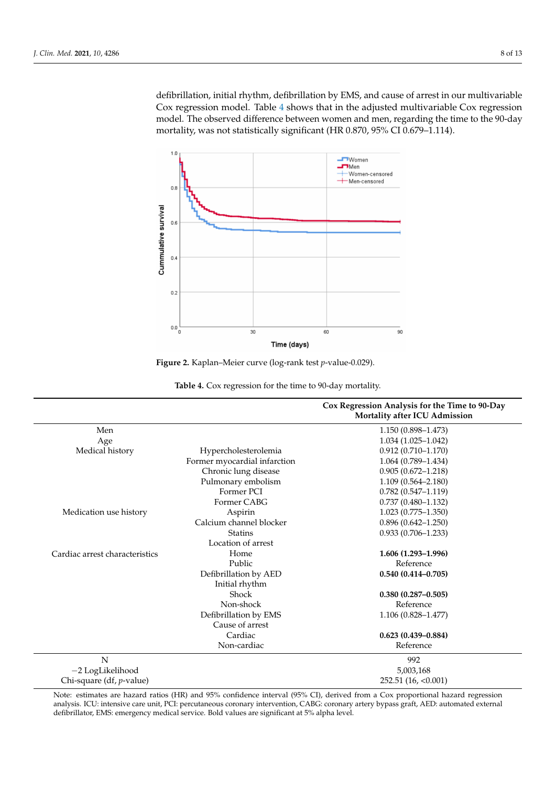defibrillation, initial rhythm, defibrillation by EMS, and cause of arrest in our multivariable Cox regression model. Table [4](#page-7-1) shows that in the adjusted multivariable Cox regression model. The observed difference between women and men, regarding the time to the 90-day mortality, was not statistically significant (HR 0.870, 95% CI 0.679–1.114).

<span id="page-7-0"></span>

**Figure 2.** Kaplan–Meier curve (log-rank test *p*-value-0.029).

<span id="page-7-1"></span>

|                                  |                              | Cox Regression Analysis for the Time to 90-Day<br><b>Mortality after ICU Admission</b> |
|----------------------------------|------------------------------|----------------------------------------------------------------------------------------|
| Men                              |                              | 1.150 (0.898-1.473)                                                                    |
| Age                              |                              | $1.034(1.025-1.042)$                                                                   |
| Medical history                  | Hypercholesterolemia         | $0.912(0.710 - 1.170)$                                                                 |
|                                  | Former myocardial infarction | $1.064(0.789 - 1.434)$                                                                 |
|                                  | Chronic lung disease         | $0.905(0.672 - 1.218)$                                                                 |
|                                  | Pulmonary embolism           | $1.109(0.564 - 2.180)$                                                                 |
|                                  | Former PCI                   | $0.782(0.547-1.119)$                                                                   |
|                                  | Former CABG                  | $0.737(0.480 - 1.132)$                                                                 |
| Medication use history           | Aspirin                      | $1.023(0.775-1.350)$                                                                   |
|                                  | Calcium channel blocker      | $0.896(0.642 - 1.250)$                                                                 |
|                                  | <b>Statins</b>               | $0.933(0.706 - 1.233)$                                                                 |
|                                  | Location of arrest           |                                                                                        |
| Cardiac arrest characteristics   | Home                         | 1.606 (1.293-1.996)                                                                    |
|                                  | Public                       | Reference                                                                              |
|                                  | Defibrillation by AED        | $0.540(0.414 - 0.705)$                                                                 |
|                                  | Initial rhythm               |                                                                                        |
|                                  | Shock                        | $0.380(0.287 - 0.505)$                                                                 |
|                                  | Non-shock                    | Reference                                                                              |
|                                  | Defibrillation by EMS        | $1.106(0.828 - 1.477)$                                                                 |
|                                  | Cause of arrest              |                                                                                        |
|                                  | Cardiac                      | $0.623(0.439 - 0.884)$                                                                 |
|                                  | Non-cardiac                  | Reference                                                                              |
| $\overline{N}$                   |                              | 992                                                                                    |
| -2 LogLikelihood                 |                              | 5,003,168                                                                              |
| Chi-square (df, <i>p</i> -value) |                              | 252.51(16, <0.001)                                                                     |

**Table 4.** Cox regression for the time to 90-day mortality.

Note: estimates are hazard ratios (HR) and 95% confidence interval (95% CI), derived from a Cox proportional hazard regression analysis. ICU: intensive care unit, PCI: percutaneous coronary intervention, CABG: coronary artery bypass graft, AED: automated external defibrillator, EMS: emergency medical service. Bold values are significant at 5% alpha level.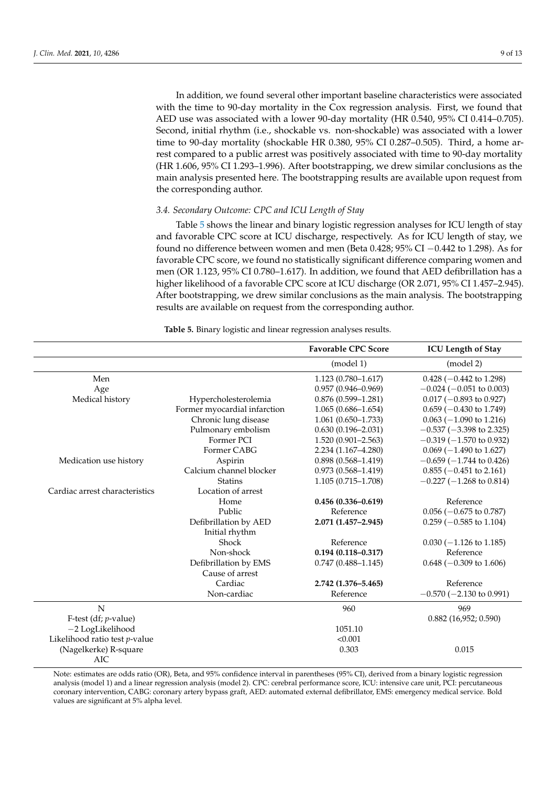In addition, we found several other important baseline characteristics were associated with the time to 90-day mortality in the Cox regression analysis. First, we found that AED use was associated with a lower 90-day mortality (HR 0.540, 95% CI 0.414–0.705). Second, initial rhythm (i.e., shockable vs. non-shockable) was associated with a lower time to 90-day mortality (shockable HR 0.380, 95% CI 0.287–0.505). Third, a home arrest compared to a public arrest was positively associated with time to 90-day mortality (HR 1.606, 95% CI 1.293–1.996). After bootstrapping, we drew similar conclusions as the main analysis presented here. The bootstrapping results are available upon request from the corresponding author.

# *3.4. Secondary Outcome: CPC and ICU Length of Stay*

Table [5](#page-8-0) shows the linear and binary logistic regression analyses for ICU length of stay and favorable CPC score at ICU discharge, respectively. As for ICU length of stay, we found no difference between women and men (Beta 0.428; 95% CI −0.442 to 1.298). As for favorable CPC score, we found no statistically significant difference comparing women and men (OR 1.123, 95% CI 0.780–1.617). In addition, we found that AED defibrillation has a higher likelihood of a favorable CPC score at ICU discharge (OR 2.071, 95% CI 1.457–2.945). After bootstrapping, we drew similar conclusions as the main analysis. The bootstrapping results are available on request from the corresponding author.

<span id="page-8-0"></span>

|                                |                              | <b>Favorable CPC Score</b> | <b>ICU Length of Stay</b>          |
|--------------------------------|------------------------------|----------------------------|------------------------------------|
|                                |                              | (model 1)                  | (model 2)                          |
| Men                            |                              | $1.123(0.780 - 1.617)$     | $0.428$ (-0.442 to 1.298)          |
| Age                            |                              | $0.957(0.946 - 0.969)$     | $-0.024$ ( $-0.051$ to 0.003)      |
| Medical history                | Hypercholesterolemia         | $0.876(0.599 - 1.281)$     | $0.017$ (-0.893 to 0.927)          |
|                                | Former myocardial infarction | $1.065(0.686 - 1.654)$     | $0.659$ ( $-0.430$ to 1.749)       |
|                                | Chronic lung disease         | $1.061(0.650 - 1.733)$     | $0.063$ (-1.090 to 1.216)          |
|                                | Pulmonary embolism           | $0.630(0.196 - 2.031)$     | $-0.537$ ( $-3.398$ to 2.325)      |
|                                | Former PCI                   | $1.520(0.901 - 2.563)$     | $-0.319$ ( $-1.570$ to 0.932)      |
|                                | Former CABG                  | $2.234(1.167 - 4.280)$     | $0.069$ (-1.490 to 1.627)          |
| Medication use history         | Aspirin                      | $0.898(0.568 - 1.419)$     | $-0.659$ ( $-1.744$ to 0.426)      |
|                                | Calcium channel blocker      | $0.973(0.568 - 1.419)$     | $0.855$ ( $-0.451$ to 2.161)       |
|                                | <b>Statins</b>               | $1.105(0.715 - 1.708)$     | $-0.227(-1.268 \text{ to } 0.814)$ |
| Cardiac arrest characteristics | Location of arrest           |                            |                                    |
|                                | Home                         | $0.456(0.336 - 0.619)$     | Reference                          |
|                                | Public                       | Reference                  | $0.056$ ( $-0.675$ to 0.787)       |
|                                | Defibrillation by AED        | 2.071 (1.457-2.945)        | $0.259$ ( $-0.585$ to 1.104)       |
|                                | Initial rhythm               |                            |                                    |
|                                | Shock                        | Reference                  | $0.030 (-1.126 \text{ to } 1.185)$ |
|                                | Non-shock                    | $0.194(0.118 - 0.317)$     | Reference                          |
|                                | Defibrillation by EMS        | $0.747(0.488 - 1.145)$     | $0.648$ (-0.309 to 1.606)          |
|                                | Cause of arrest              |                            |                                    |
|                                | Cardiac                      | 2.742 (1.376-5.465)        | Reference                          |
|                                | Non-cardiac                  | Reference                  | $-0.570$ ( $-2.130$ to 0.991)      |
| N                              |                              | 960                        | 969                                |
| F-test (df; $p$ -value)        |                              |                            | $0.882$ (16,952; 0.590)            |
| -2 LogLikelihood               |                              | 1051.10                    |                                    |
| Likelihood ratio test p-value  |                              | < 0.001                    |                                    |
| (Nagelkerke) R-square          |                              | 0.303                      | 0.015                              |
| <b>AIC</b>                     |                              |                            |                                    |

**Table 5.** Binary logistic and linear regression analyses results.

Note: estimates are odds ratio (OR), Beta, and 95% confidence interval in parentheses (95% CI), derived from a binary logistic regression analysis (model 1) and a linear regression analysis (model 2). CPC: cerebral performance score, ICU: intensive care unit, PCI: percutaneous coronary intervention, CABG: coronary artery bypass graft, AED: automated external defibrillator, EMS: emergency medical service. Bold values are significant at 5% alpha level.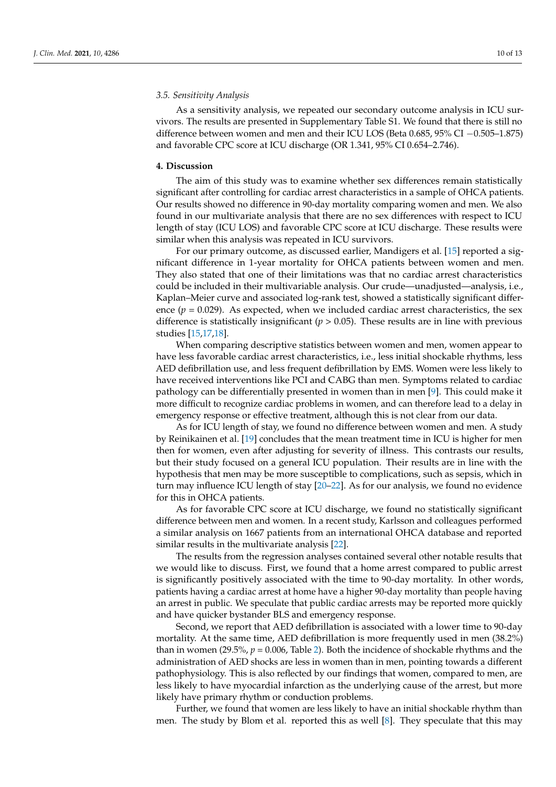## *3.5. Sensitivity Analysis*

As a sensitivity analysis, we repeated our secondary outcome analysis in ICU survivors. The results are presented in Supplementary Table S1. We found that there is still no difference between women and men and their ICU LOS (Beta 0.685, 95% CI −0.505–1.875) and favorable CPC score at ICU discharge (OR 1.341, 95% CI 0.654–2.746).

#### **4. Discussion**

The aim of this study was to examine whether sex differences remain statistically significant after controlling for cardiac arrest characteristics in a sample of OHCA patients. Our results showed no difference in 90-day mortality comparing women and men. We also found in our multivariate analysis that there are no sex differences with respect to ICU length of stay (ICU LOS) and favorable CPC score at ICU discharge. These results were similar when this analysis was repeated in ICU survivors.

For our primary outcome, as discussed earlier, Mandigers et al. [\[15\]](#page-11-14) reported a significant difference in 1-year mortality for OHCA patients between women and men. They also stated that one of their limitations was that no cardiac arrest characteristics could be included in their multivariable analysis. Our crude—unadjusted—analysis, i.e., Kaplan–Meier curve and associated log-rank test, showed a statistically significant difference  $(p = 0.029)$ . As expected, when we included cardiac arrest characteristics, the sex difference is statistically insignificant ( $p > 0.05$ ). These results are in line with previous studies [\[15](#page-11-14)[,17](#page-12-1)[,18\]](#page-12-2).

When comparing descriptive statistics between women and men, women appear to have less favorable cardiac arrest characteristics, i.e., less initial shockable rhythms, less AED defibrillation use, and less frequent defibrillation by EMS. Women were less likely to have received interventions like PCI and CABG than men. Symptoms related to cardiac pathology can be differentially presented in women than in men [\[9\]](#page-11-8). This could make it more difficult to recognize cardiac problems in women, and can therefore lead to a delay in emergency response or effective treatment, although this is not clear from our data.

As for ICU length of stay, we found no difference between women and men. A study by Reinikainen et al. [\[19\]](#page-12-3) concludes that the mean treatment time in ICU is higher for men then for women, even after adjusting for severity of illness. This contrasts our results, but their study focused on a general ICU population. Their results are in line with the hypothesis that men may be more susceptible to complications, such as sepsis, which in turn may influence ICU length of stay [\[20–](#page-12-4)[22\]](#page-12-5). As for our analysis, we found no evidence for this in OHCA patients.

As for favorable CPC score at ICU discharge, we found no statistically significant difference between men and women. In a recent study, Karlsson and colleagues performed a similar analysis on 1667 patients from an international OHCA database and reported similar results in the multivariate analysis [\[22\]](#page-12-5).

The results from the regression analyses contained several other notable results that we would like to discuss. First, we found that a home arrest compared to public arrest is significantly positively associated with the time to 90-day mortality. In other words, patients having a cardiac arrest at home have a higher 90-day mortality than people having an arrest in public. We speculate that public cardiac arrests may be reported more quickly and have quicker bystander BLS and emergency response.

Second, we report that AED defibrillation is associated with a lower time to 90-day mortality. At the same time, AED defibrillation is more frequently used in men (38.2%) than in women (29.5%,  $p = 0.006$ , Table [2\)](#page-5-0). Both the incidence of shockable rhythms and the administration of AED shocks are less in women than in men, pointing towards a different pathophysiology. This is also reflected by our findings that women, compared to men, are less likely to have myocardial infarction as the underlying cause of the arrest, but more likely have primary rhythm or conduction problems.

Further, we found that women are less likely to have an initial shockable rhythm than men. The study by Blom et al. reported this as well [\[8\]](#page-11-7). They speculate that this may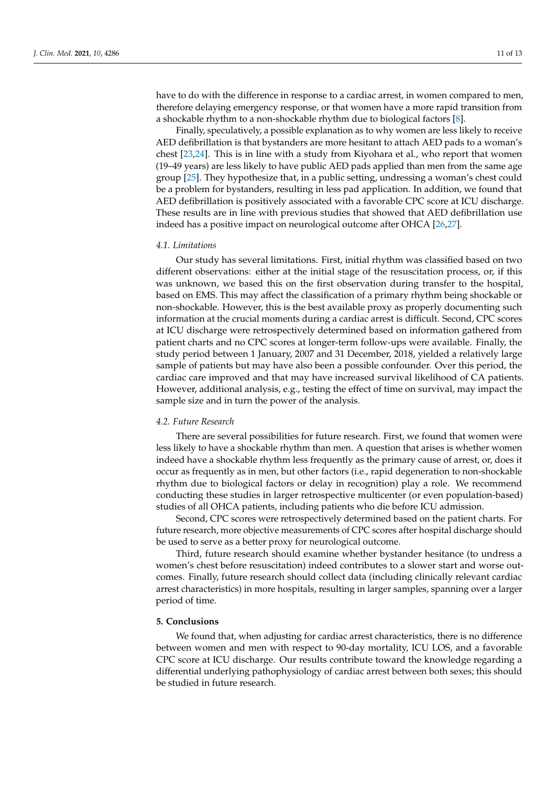have to do with the difference in response to a cardiac arrest, in women compared to men, therefore delaying emergency response, or that women have a more rapid transition from a shockable rhythm to a non-shockable rhythm due to biological factors [\[8\]](#page-11-7).

Finally, speculatively, a possible explanation as to why women are less likely to receive AED defibrillation is that bystanders are more hesitant to attach AED pads to a woman's chest [\[23,](#page-12-6)[24\]](#page-12-7). This is in line with a study from Kiyohara et al., who report that women (19–49 years) are less likely to have public AED pads applied than men from the same age group [\[25\]](#page-12-8). They hypothesize that, in a public setting, undressing a woman's chest could be a problem for bystanders, resulting in less pad application. In addition, we found that AED defibrillation is positively associated with a favorable CPC score at ICU discharge. These results are in line with previous studies that showed that AED defibrillation use indeed has a positive impact on neurological outcome after OHCA [\[26,](#page-12-9)[27\]](#page-12-10).

## *4.1. Limitations*

Our study has several limitations. First, initial rhythm was classified based on two different observations: either at the initial stage of the resuscitation process, or, if this was unknown, we based this on the first observation during transfer to the hospital, based on EMS. This may affect the classification of a primary rhythm being shockable or non-shockable. However, this is the best available proxy as properly documenting such information at the crucial moments during a cardiac arrest is difficult. Second, CPC scores at ICU discharge were retrospectively determined based on information gathered from patient charts and no CPC scores at longer-term follow-ups were available. Finally, the study period between 1 January, 2007 and 31 December, 2018, yielded a relatively large sample of patients but may have also been a possible confounder. Over this period, the cardiac care improved and that may have increased survival likelihood of CA patients. However, additional analysis, e.g., testing the effect of time on survival, may impact the sample size and in turn the power of the analysis.

## *4.2. Future Research*

There are several possibilities for future research. First, we found that women were less likely to have a shockable rhythm than men. A question that arises is whether women indeed have a shockable rhythm less frequently as the primary cause of arrest, or, does it occur as frequently as in men, but other factors (i.e., rapid degeneration to non-shockable rhythm due to biological factors or delay in recognition) play a role. We recommend conducting these studies in larger retrospective multicenter (or even population-based) studies of all OHCA patients, including patients who die before ICU admission.

Second, CPC scores were retrospectively determined based on the patient charts. For future research, more objective measurements of CPC scores after hospital discharge should be used to serve as a better proxy for neurological outcome.

Third, future research should examine whether bystander hesitance (to undress a women's chest before resuscitation) indeed contributes to a slower start and worse outcomes. Finally, future research should collect data (including clinically relevant cardiac arrest characteristics) in more hospitals, resulting in larger samples, spanning over a larger period of time.

## **5. Conclusions**

We found that, when adjusting for cardiac arrest characteristics, there is no difference between women and men with respect to 90-day mortality, ICU LOS, and a favorable CPC score at ICU discharge. Our results contribute toward the knowledge regarding a differential underlying pathophysiology of cardiac arrest between both sexes; this should be studied in future research.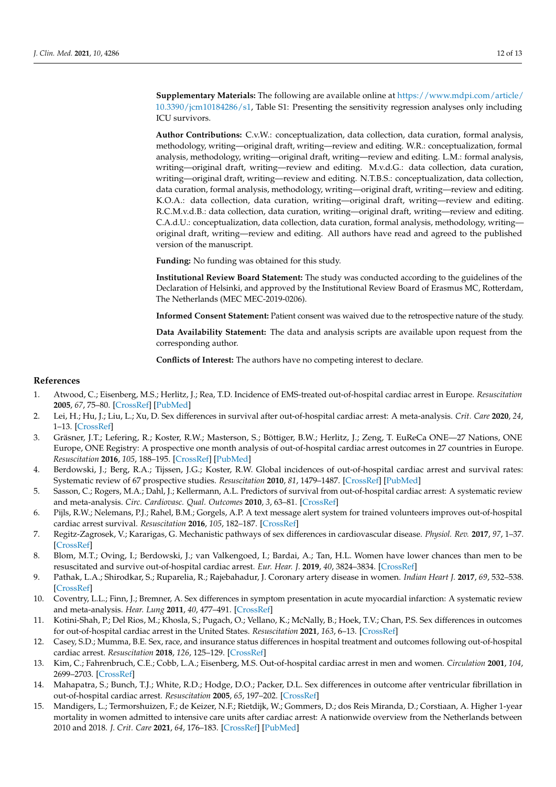**Supplementary Materials:** The following are available online at [https://www.mdpi.com/article/](https://www.mdpi.com/article/10.3390/jcm10184286/s1) [10.3390/jcm10184286/s1,](https://www.mdpi.com/article/10.3390/jcm10184286/s1) Table S1: Presenting the sensitivity regression analyses only including ICU survivors.

**Author Contributions:** C.v.W.: conceptualization, data collection, data curation, formal analysis, methodology, writing—original draft, writing—review and editing. W.R.: conceptualization, formal analysis, methodology, writing—original draft, writing—review and editing. L.M.: formal analysis, writing—original draft, writing—review and editing. M.v.d.G.: data collection, data curation, writing—original draft, writing—review and editing. N.T.B.S.: conceptualization, data collection, data curation, formal analysis, methodology, writing—original draft, writing—review and editing. K.O.A.: data collection, data curation, writing—original draft, writing—review and editing. R.C.M.v.d.B.: data collection, data curation, writing—original draft, writing—review and editing. C.A.d.U.: conceptualization, data collection, data curation, formal analysis, methodology, writing original draft, writing—review and editing. All authors have read and agreed to the published version of the manuscript.

**Funding:** No funding was obtained for this study.

**Institutional Review Board Statement:** The study was conducted according to the guidelines of the Declaration of Helsinki, and approved by the Institutional Review Board of Erasmus MC, Rotterdam, The Netherlands (MEC MEC-2019-0206).

**Informed Consent Statement:** Patient consent was waived due to the retrospective nature of the study.

**Data Availability Statement:** The data and analysis scripts are available upon request from the corresponding author.

**Conflicts of Interest:** The authors have no competing interest to declare.

#### **References**

- <span id="page-11-0"></span>1. Atwood, C.; Eisenberg, M.S.; Herlitz, J.; Rea, T.D. Incidence of EMS-treated out-of-hospital cardiac arrest in Europe. *Resuscitation* **2005**, *67*, 75–80. [\[CrossRef\]](http://doi.org/10.1016/j.resuscitation.2005.03.021) [\[PubMed\]](http://www.ncbi.nlm.nih.gov/pubmed/16199289)
- <span id="page-11-1"></span>2. Lei, H.; Hu, J.; Liu, L.; Xu, D. Sex differences in survival after out-of-hospital cardiac arrest: A meta-analysis. *Crit. Care* **2020**, *24*, 1–13. [\[CrossRef\]](http://doi.org/10.1186/s13054-020-03331-5)
- <span id="page-11-2"></span>3. Gräsner, J.T.; Lefering, R.; Koster, R.W.; Masterson, S.; Böttiger, B.W.; Herlitz, J.; Zeng, T. EuReCa ONE—27 Nations, ONE Europe, ONE Registry: A prospective one month analysis of out-of-hospital cardiac arrest outcomes in 27 countries in Europe. *Resuscitation* **2016**, *105*, 188–195. [\[CrossRef\]](http://doi.org/10.1016/j.resuscitation.2016.06.004) [\[PubMed\]](http://www.ncbi.nlm.nih.gov/pubmed/27321577)
- <span id="page-11-3"></span>4. Berdowski, J.; Berg, R.A.; Tijssen, J.G.; Koster, R.W. Global incidences of out-of-hospital cardiac arrest and survival rates: Systematic review of 67 prospective studies. *Resuscitation* **2010**, *81*, 1479–1487. [\[CrossRef\]](http://doi.org/10.1016/j.resuscitation.2010.08.006) [\[PubMed\]](http://www.ncbi.nlm.nih.gov/pubmed/20828914)
- <span id="page-11-4"></span>5. Sasson, C.; Rogers, M.A.; Dahl, J.; Kellermann, A.L. Predictors of survival from out-of-hospital cardiac arrest: A systematic review and meta-analysis. *Circ. Cardiovasc. Qual. Outcomes* **2010**, *3*, 63–81. [\[CrossRef\]](http://doi.org/10.1161/CIRCOUTCOMES.109.889576)
- <span id="page-11-5"></span>6. Pijls, R.W.; Nelemans, P.J.; Rahel, B.M.; Gorgels, A.P. A text message alert system for trained volunteers improves out-of-hospital cardiac arrest survival. *Resuscitation* **2016**, *105*, 182–187. [\[CrossRef\]](http://doi.org/10.1016/j.resuscitation.2016.06.006)
- <span id="page-11-6"></span>7. Regitz-Zagrosek, V.; Kararigas, G. Mechanistic pathways of sex differences in cardiovascular disease. *Physiol. Rev.* **2017**, *97*, 1–37. [\[CrossRef\]](http://doi.org/10.1152/physrev.00021.2015)
- <span id="page-11-7"></span>8. Blom, M.T.; Oving, I.; Berdowski, J.; van Valkengoed, I.; Bardai, A.; Tan, H.L. Women have lower chances than men to be resuscitated and survive out-of-hospital cardiac arrest. *Eur. Hear. J.* **2019**, *40*, 3824–3834. [\[CrossRef\]](http://doi.org/10.1093/eurheartj/ehz297)
- <span id="page-11-8"></span>9. Pathak, L.A.; Shirodkar, S.; Ruparelia, R.; Rajebahadur, J. Coronary artery disease in women. *Indian Heart J.* **2017**, *69*, 532–538. [\[CrossRef\]](http://doi.org/10.1016/j.ihj.2017.05.023)
- <span id="page-11-9"></span>10. Coventry, L.L.; Finn, J.; Bremner, A. Sex differences in symptom presentation in acute myocardial infarction: A systematic review and meta-analysis. *Hear. Lung* **2011**, *40*, 477–491. [\[CrossRef\]](http://doi.org/10.1016/j.hrtlng.2011.05.001)
- <span id="page-11-10"></span>11. Kotini-Shah, P.; Del Rios, M.; Khosla, S.; Pugach, O.; Vellano, K.; McNally, B.; Hoek, T.V.; Chan, P.S. Sex differences in outcomes for out-of-hospital cardiac arrest in the United States. *Resuscitation* **2021**, *163*, 6–13. [\[CrossRef\]](http://doi.org/10.1016/j.resuscitation.2021.03.020)
- <span id="page-11-11"></span>12. Casey, S.D.; Mumma, B.E. Sex, race, and insurance status differences in hospital treatment and outcomes following out-of-hospital cardiac arrest. *Resuscitation* **2018**, *126*, 125–129. [\[CrossRef\]](http://doi.org/10.1016/j.resuscitation.2018.02.027)
- <span id="page-11-12"></span>13. Kim, C.; Fahrenbruch, C.E.; Cobb, L.A.; Eisenberg, M.S. Out-of-hospital cardiac arrest in men and women. *Circulation* **2001**, *104*, 2699–2703. [\[CrossRef\]](http://doi.org/10.1161/hc4701.099784)
- <span id="page-11-13"></span>14. Mahapatra, S.; Bunch, T.J.; White, R.D.; Hodge, D.O.; Packer, D.L. Sex differences in outcome after ventricular fibrillation in out-of-hospital cardiac arrest. *Resuscitation* **2005**, *65*, 197–202. [\[CrossRef\]](http://doi.org/10.1016/j.resuscitation.2004.10.017)
- <span id="page-11-14"></span>15. Mandigers, L.; Termorshuizen, F.; de Keizer, N.F.; Rietdijk, W.; Gommers, D.; dos Reis Miranda, D.; Corstiaan, A. Higher 1-year mortality in women admitted to intensive care units after cardiac arrest: A nationwide overview from the Netherlands between 2010 and 2018. *J. Crit. Care* **2021**, *64*, 176–183. [\[CrossRef\]](http://doi.org/10.1016/j.jcrc.2021.04.007) [\[PubMed\]](http://www.ncbi.nlm.nih.gov/pubmed/33962218)